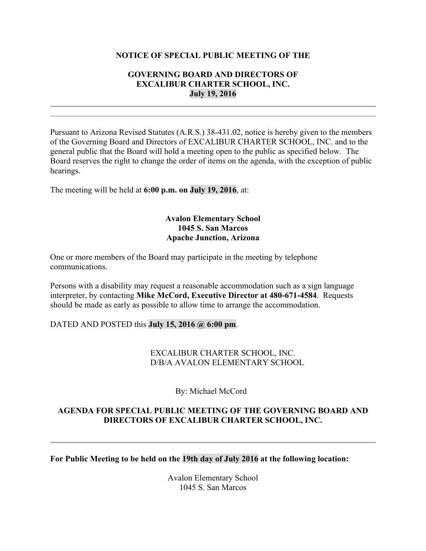#### **NOTICE OF SPECIAL PUBLIC MEETING OF THE**

### **GOVERNING BOARD AND DIRECTORS OF EXCALIBUR CHARTER SCHOOL, INC. July 19, 2016**

Pursuant to Arizona Revised Statutes (A.R.S.) 38-431.02, notice is hereby given to the members of the Governing Board and Directors of EXCALIBUR CHARTER SCHOOL, INC. and to the general public that the Board will hold a meeting open to the public as specified below. The Board reserves the right to change the order of items on the agenda, with the exception of public hearings.

The meeting will be held at **6:00 p.m. on July 19, 2016**, at:

## **Avalon Elementary School 1045 S. San Marcos Apache Junction, Arizona**

One or more members of the Board may participate in the meeting by telephone communications.

Persons with a disability may request a reasonable accommodation such as a sign language interpreter, by contacting **Mike McCord, Executive Director at 480-671-4584**. Requests should be made as early as possible to allow time to arrange the accommodation.

#### DATED AND POSTED this **July 15, 2016 @ 6:00 pm**.

EXCALIBUR CHARTER SCHOOL, INC. D/B/A AVALON ELEMENTARY SCHOOL

By: Michael McCord

## **AGENDA FOR SPECIAL PUBLIC MEETING OF THE GOVERNING BOARD AND DIRECTORS OF EXCALIBUR CHARTER SCHOOL, INC.**

**For Public Meeting to be held on the 19th day of July 2016 at the following location:**

Avalon Elementary School 1045 S. San Marcos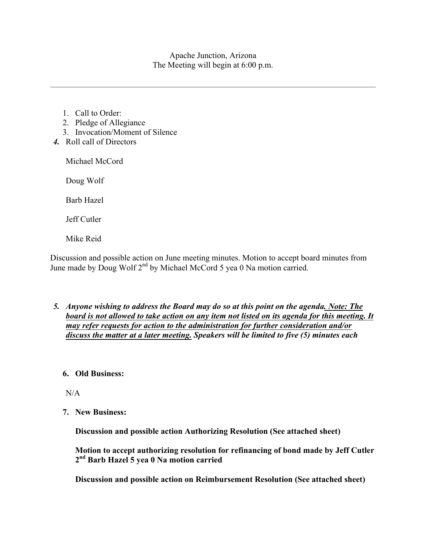Apache Junction, Arizona The Meeting will begin at 6:00 p.m.

- 1. Call to Order:
- 2. Pledge of Allegiance
- 3. Invocation/Moment of Silence
- *4.* Roll call of Directors

Michael McCord

Doug Wolf

Barb Hazel

Jeff Cutler

Mike Reid

Discussion and possible action on June meeting minutes. Motion to accept board minutes from June made by Doug Wolf 2<sup>nd</sup> by Michael McCord 5 yea 0 Na motion carried.

*5. Anyone wishing to address the Board may do so at this point on the agenda. Note: The board is not allowed to take action on any item not listed on its agenda for this meeting. It may refer requests for action to the administration for further consideration and/or discuss the matter at a later meeting. Speakers will be limited to five (5) minutes each*

# **6. Old Business:**

 $N/A$ 

**7. New Business:**

**Discussion and possible action Authorizing Resolution (See attached sheet)**

**Motion to accept authorizing resolution for refinancing of bond made by Jeff Cutler 2nd Barb Hazel 5 yea 0 Na motion carried** 

**Discussion and possible action on Reimbursement Resolution (See attached sheet)**